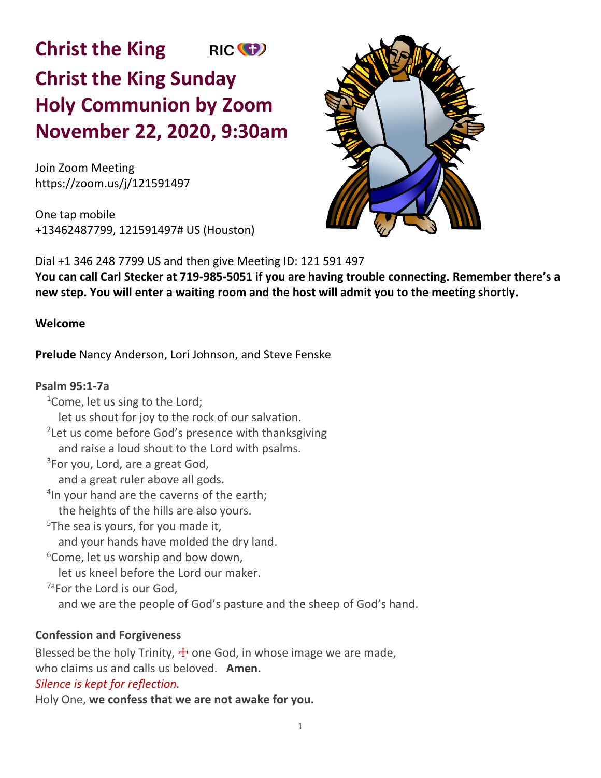**Christ the King** RIC<sup>(C</sup>) **Christ the King Sunday Holy Communion by Zoom November 22, 2020, 9:30am**

Join Zoom Meeting https://zoom.us/j/121591497

One tap mobile +13462487799, 121591497# US (Houston)



Dial +1 346 248 7799 US and then give Meeting ID: 121 591 497 **You can call Carl Stecker at 719-985-5051 if you are having trouble connecting. Remember there's a new step. You will enter a waiting room and the host will admit you to the meeting shortly.** 

# **Welcome**

**Prelude** Nancy Anderson, Lori Johnson, and Steve Fenske

**Psalm 95:1-7a**  $1$ Come, let us sing to the Lord; let us shout for joy to the rock of our salvation. <sup>2</sup>Let us come before God's presence with thanksgiving and raise a loud shout to the Lord with psalms. <sup>3</sup>For you, Lord, are a great God, and a great ruler above all gods. <sup>4</sup>In your hand are the caverns of the earth; the heights of the hills are also yours. <sup>5</sup>The sea is yours, for you made it, and your hands have molded the dry land.  $6$ Come, let us worship and bow down, let us kneel before the Lord our maker. <sup>7a</sup>For the Lord is our God, and we are the people of God's pasture and the sheep of God's hand.

### **Confession and Forgiveness**

Blessed be the holy Trinity,  $\pm$  one God, in whose image we are made, who claims us and calls us beloved. **Amen.**

# *Silence is kept for reflection.*

Holy One, **we confess that we are not awake for you.**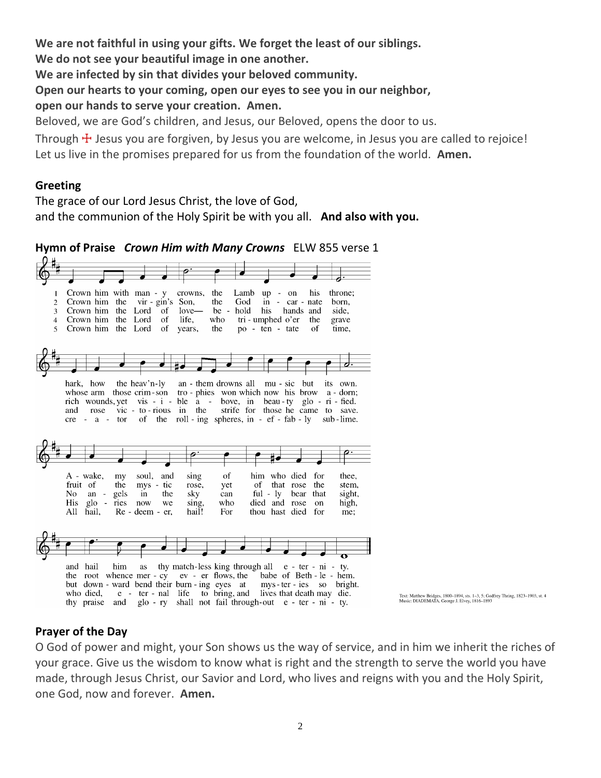**We are not faithful in using your gifts. We forget the least of our siblings.**

**We do not see your beautiful image in one another.**

**We are infected by sin that divides your beloved community.**

**Open our hearts to your coming, open our eyes to see you in our neighbor,**

**open our hands to serve your creation. Amen.**

Beloved, we are God's children, and Jesus, our Beloved, opens the door to us.

Through  $\pm$  Jesus you are forgiven, by Jesus you are welcome, in Jesus you are called to rejoice! Let us live in the promises prepared for us from the foundation of the world. **Amen.**

# **Greeting**

The grace of our Lord Jesus Christ, the love of God, and the communion of the Holy Spirit be with you all. **And also with you.**

**Hymn of Praise** *Crown Him with Many Crowns* ELW 855 verse 1



# **Prayer of the Day**

O God of power and might, your Son shows us the way of service, and in him we inherit the riches of your grace. Give us the wisdom to know what is right and the strength to serve the world you have made, through Jesus Christ, our Savior and Lord, who lives and reigns with you and the Holy Spirit, one God, now and forever. **Amen.**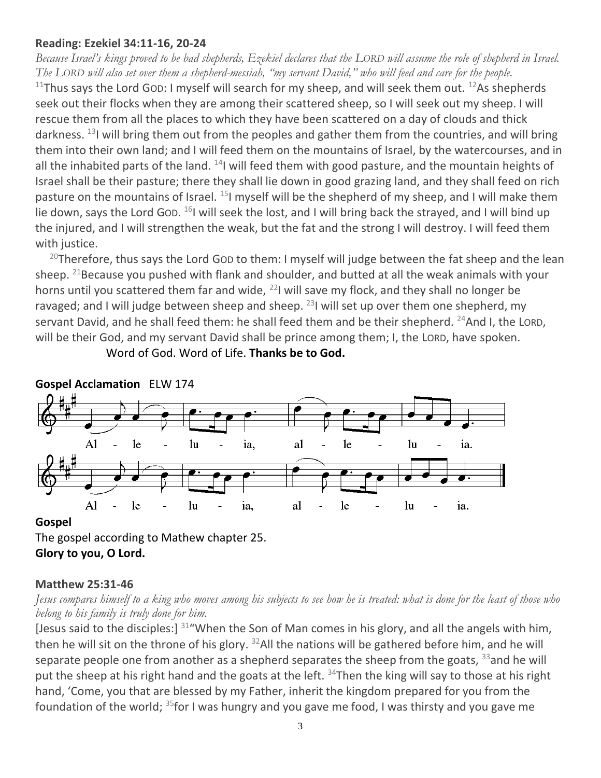## **Reading: Ezekiel 34:11-16, 20-24**

*Because Israel's kings proved to be bad shepherds, Ezekiel declares that the LORD will assume the role of shepherd in Israel. The LORD will also set over them a shepherd-messiah, "my servant David," who will feed and care for the people.*

<sup>11</sup>Thus says the Lord GOD: I myself will search for my sheep, and will seek them out. <sup>12</sup>As shepherds seek out their flocks when they are among their scattered sheep, so I will seek out my sheep. I will rescue them from all the places to which they have been scattered on a day of clouds and thick darkness. <sup>13</sup>I will bring them out from the peoples and gather them from the countries, and will bring them into their own land; and I will feed them on the mountains of Israel, by the watercourses, and in all the inhabited parts of the land.  $^{14}$ I will feed them with good pasture, and the mountain heights of Israel shall be their pasture; there they shall lie down in good grazing land, and they shall feed on rich pasture on the mountains of Israel.  $^{15}$ I myself will be the shepherd of my sheep, and I will make them lie down, says the Lord Gop.  $^{16}$ I will seek the lost, and I will bring back the strayed, and I will bind up the injured, and I will strengthen the weak, but the fat and the strong I will destroy. I will feed them with justice.

<sup>20</sup>Therefore, thus says the Lord GoD to them: I myself will judge between the fat sheep and the lean sheep.  $^{21}$ Because you pushed with flank and shoulder, and butted at all the weak animals with your horns until you scattered them far and wide, <sup>22</sup>I will save my flock, and they shall no longer be ravaged; and I will judge between sheep and sheep.  $^{23}$ I will set up over them one shepherd, my servant David, and he shall feed them: he shall feed them and be their shepherd. <sup>24</sup>And I, the LORD, will be their God, and my servant David shall be prince among them; I, the LORD, have spoken.

Word of God. Word of Life. **Thanks be to God.**



### **Gospel**

The gospel according to Mathew chapter 25. **Glory to you, O Lord.**

### **Matthew 25:31-46**

*Jesus compares himself to a king who moves among his subjects to see how he is treated: what is done for the least of those who belong to his family is truly done for him.*

[Jesus said to the disciples:]  $31^{\circ}$  When the Son of Man comes in his glory, and all the angels with him, then he will sit on the throne of his glory.  $32$ All the nations will be gathered before him, and he will separate people one from another as a shepherd separates the sheep from the goats,  $33$  and he will put the sheep at his right hand and the goats at the left.  $34$ Then the king will say to those at his right hand, 'Come, you that are blessed by my Father, inherit the kingdom prepared for you from the foundation of the world; <sup>35</sup>for I was hungry and you gave me food, I was thirsty and you gave me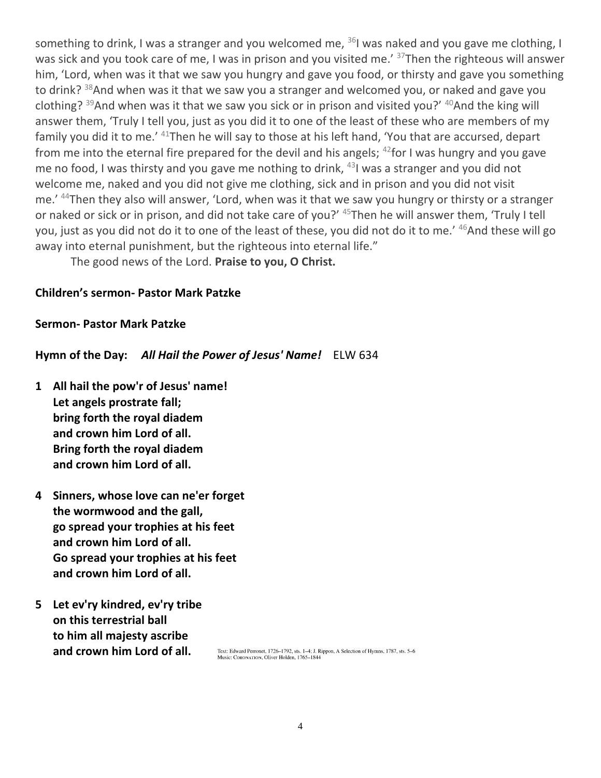something to drink, I was a stranger and you welcomed me,  $361$  was naked and you gave me clothing, I was sick and you took care of me, I was in prison and you visited me.' <sup>37</sup>Then the righteous will answer him, 'Lord, when was it that we saw you hungry and gave you food, or thirsty and gave you something to drink? <sup>38</sup>And when was it that we saw you a stranger and welcomed you, or naked and gave you clothing?  $39$ And when was it that we saw you sick or in prison and visited you?'  $40$ And the king will answer them, 'Truly I tell you, just as you did it to one of the least of these who are members of my family you did it to me.<sup>' 41</sup>Then he will say to those at his left hand, 'You that are accursed, depart from me into the eternal fire prepared for the devil and his angels;  $42$  for I was hungry and you gave me no food, I was thirsty and you gave me nothing to drink,  $431$  was a stranger and you did not welcome me, naked and you did not give me clothing, sick and in prison and you did not visit me.' <sup>44</sup>Then they also will answer, 'Lord, when was it that we saw you hungry or thirsty or a stranger or naked or sick or in prison, and did not take care of you?' <sup>45</sup>Then he will answer them, 'Truly I tell you, just as you did not do it to one of the least of these, you did not do it to me.<sup>'46</sup>And these will go away into eternal punishment, but the righteous into eternal life."

The good news of the Lord. **Praise to you, O Christ.**

## **Children's sermon- Pastor Mark Patzke**

## **Sermon- Pastor Mark Patzke**

**Hymn of the Day:** *All Hail the Power of Jesus' Name!* ELW 634

- **1 All hail the pow'r of Jesus' name! Let angels prostrate fall; bring forth the royal diadem and crown him Lord of all. Bring forth the royal diadem and crown him Lord of all.**
- **4 Sinners, whose love can ne'er forget the wormwood and the gall, go spread your trophies at his feet and crown him Lord of all. Go spread your trophies at his feet and crown him Lord of all.**
- **5 Let ev'ry kindred, ev'ry tribe on this terrestrial ball to him all majesty ascribe and crown him Lord of all.**

Text: Edward Perronet, 1726-1792, sts. 1-4; J. Rippon, A Selection of Hymns, 1787, sts. 5-6 Music: CORONATION, Oliver Holden, 1765-1844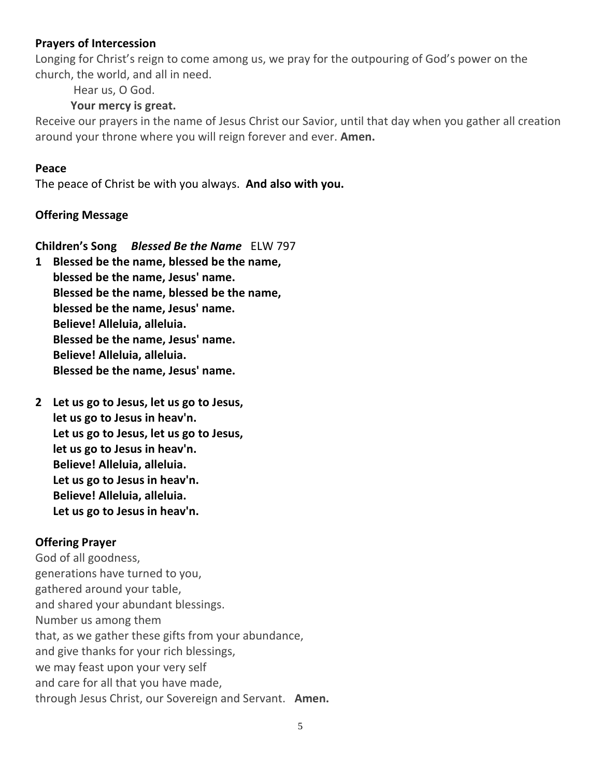## **Prayers of Intercession**

Longing for Christ's reign to come among us, we pray for the outpouring of God's power on the church, the world, and all in need.

Hear us, O God.

# **Your mercy is great.**

Receive our prayers in the name of Jesus Christ our Savior, until that day when you gather all creation around your throne where you will reign forever and ever. **Amen.**

# **Peace**

The peace of Christ be with you always. **And also with you.**

# **Offering Message**

**Children's Song** *Blessed Be the Name* ELW 797

- **1 Blessed be the name, blessed be the name, blessed be the name, Jesus' name. Blessed be the name, blessed be the name, blessed be the name, Jesus' name. Believe! Alleluia, alleluia. Blessed be the name, Jesus' name. Believe! Alleluia, alleluia. Blessed be the name, Jesus' name.**
- **2 Let us go to Jesus, let us go to Jesus, let us go to Jesus in heav'n. Let us go to Jesus, let us go to Jesus, let us go to Jesus in heav'n. Believe! Alleluia, alleluia. Let us go to Jesus in heav'n. Believe! Alleluia, alleluia. Let us go to Jesus in heav'n.**

# **Offering Prayer**

God of all goodness, generations have turned to you, gathered around your table, and shared your abundant blessings. Number us among them that, as we gather these gifts from your abundance, and give thanks for your rich blessings, we may feast upon your very self and care for all that you have made, through Jesus Christ, our Sovereign and Servant. **Amen.**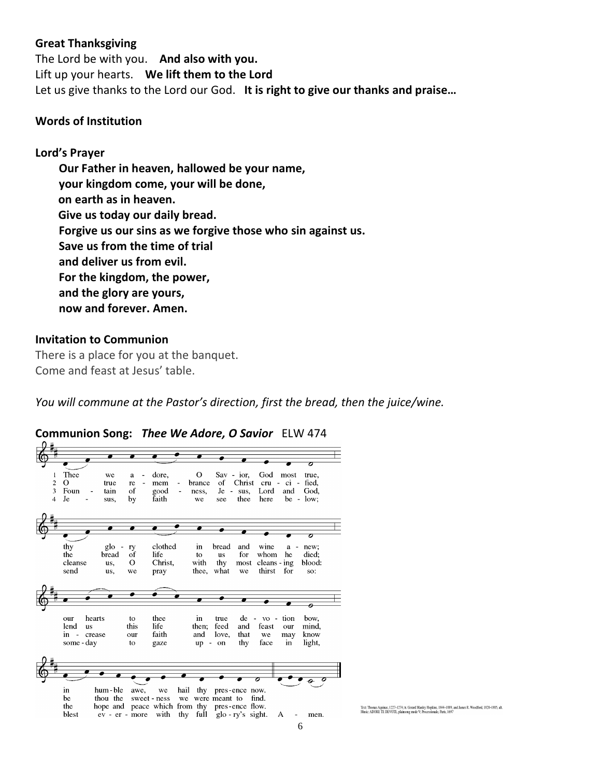#### **Great Thanksgiving**

The Lord be with you. **And also with you.** Lift up your hearts. **We lift them to the Lord** Let us give thanks to the Lord our God. **It is right to give our thanks and praise…** 

### **Words of Institution**

#### **Lord's Prayer**

**Our Father in heaven, hallowed be your name, your kingdom come, your will be done, on earth as in heaven. Give us today our daily bread. Forgive us our sins as we forgive those who sin against us. Save us from the time of trial and deliver us from evil. For the kingdom, the power, and the glory are yours, now and forever. Amen.**

#### **Invitation to Communion**

There is a place for you at the banquet. Come and feast at Jesus' table.

*You will commune at the Pastor's direction, first the bread, then the juice/wine.*



**Communion Song:** *Thee We Adore, O Savior* ELW 474

Text: Thomas Aquinas, 1227-1274; tr. Gerard Manley Hopkins, 1844-1889, and James R. Woodford, 1820-1885, alt.<br>Music: ADORE TE DEVOTE, plainsong mode V: Processionale, Paris, 1697